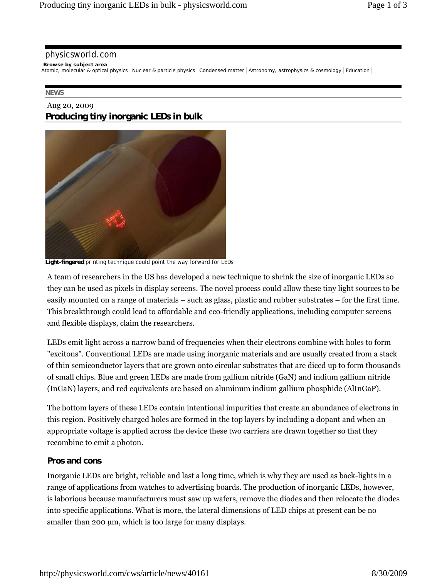#### physicsworld.com

**Browse by subject area**

Atomic, molecular & optical physics Nuclear & particle physics Condensed matter Astronomy, astrophysics & cosmology Education

#### **NEWS**

### Aug 20, 2009 **Producing tiny inorganic LEDs in bulk**



**Light-fingered** printing technique could point the way forward for LEDs

A team of researchers in the US has developed a new technique to shrink the size of inorganic LEDs so they can be used as pixels in display screens. The novel process could allow these tiny light sources to be easily mounted on a range of materials – such as glass, plastic and rubber substrates – for the first time. This breakthrough could lead to affordable and eco-friendly applications, including computer screens and flexible displays, claim the researchers.

LEDs emit light across a narrow band of frequencies when their electrons combine with holes to form "excitons". Conventional LEDs are made using inorganic materials and are usually created from a stack of thin semiconductor layers that are grown onto circular substrates that are diced up to form thousands of small chips. Blue and green LEDs are made from gallium nitride (GaN) and indium gallium nitride (InGaN) layers, and red equivalents are based on aluminum indium gallium phosphide (AlInGaP).

The bottom layers of these LEDs contain intentional impurities that create an abundance of electrons in this region. Positively charged holes are formed in the top layers by including a dopant and when an appropriate voltage is applied across the device these two carriers are drawn together so that they recombine to emit a photon.

### **Pros and cons**

Inorganic LEDs are bright, reliable and last a long time, which is why they are used as back-lights in a range of applications from watches to advertising boards. The production of inorganic LEDs, however, is laborious because manufacturers must saw up wafers, remove the diodes and then relocate the diodes into specific applications. What is more, the lateral dimensions of LED chips at present can be no smaller than 200 μm, which is too large for many displays.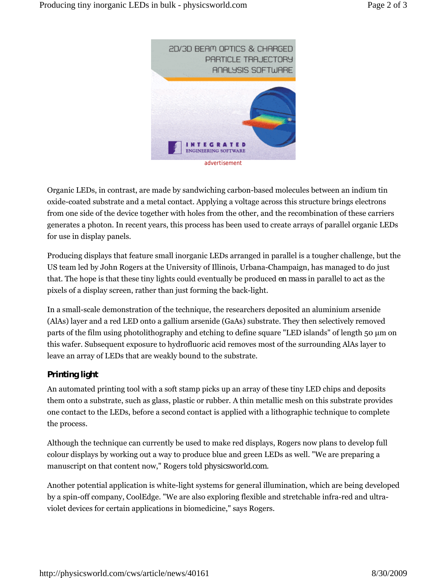

Organic LEDs, in contrast, are made by sandwiching carbon-based molecules between an indium tin oxide-coated substrate and a metal contact. Applying a voltage across this structure brings electrons from one side of the device together with holes from the other, and the recombination of these carriers generates a photon. In recent years, this process has been used to create arrays of parallel organic LEDs for use in display panels.

Producing displays that feature small inorganic LEDs arranged in parallel is a tougher challenge, but the US team led by John Rogers at the University of Illinois, Urbana-Champaign, has managed to do just that. The hope is that these tiny lights could eventually be produced *en mass* in parallel to act as the pixels of a display screen, rather than just forming the back-light.

In a small-scale demonstration of the technique, the researchers deposited an aluminium arsenide (AlAs) layer and a red LED onto a gallium arsenide (GaAs) substrate. They then selectively removed parts of the film using photolithography and etching to define square "LED islands" of length 50 μm on this wafer. Subsequent exposure to hydrofluoric acid removes most of the surrounding AlAs layer to leave an array of LEDs that are weakly bound to the substrate.

# **Printing light**

An automated printing tool with a soft stamp picks up an array of these tiny LED chips and deposits them onto a substrate, such as glass, plastic or rubber. A thin metallic mesh on this substrate provides one contact to the LEDs, before a second contact is applied with a lithographic technique to complete the process.

Although the technique can currently be used to make red displays, Rogers now plans to develop full colour displays by working out a way to produce blue and green LEDs as well. "We are preparing a manuscript on that content now," Rogers told *physicsworld.com*.

Another potential application is white-light systems for general illumination, which are being developed by a spin-off company, CoolEdge. "We are also exploring flexible and stretchable infra-red and ultraviolet devices for certain applications in biomedicine," says Rogers.